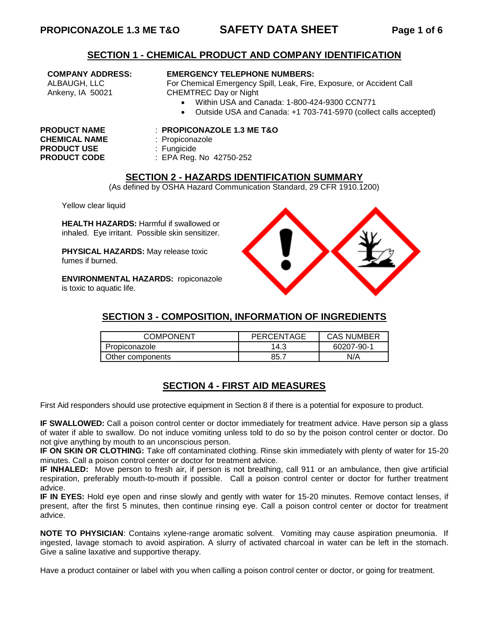### **SECTION 1 - CHEMICAL PRODUCT AND COMPANY IDENTIFICATION**

**COMPANY ADDRESS:** ALBAUGH, LLC Ankeny, IA 50021

#### **EMERGENCY TELEPHONE NUMBERS:**

For Chemical Emergency Spill, Leak, Fire, Exposure, or Accident Call CHEMTREC Day or Night

- Within USA and Canada: 1-800-424-9300 CCN771
- Outside USA and Canada: +1 703-741-5970 (collect calls accepted)

**CHEMICAL NAME** : Propiconazole PRODUCT USE : Fungicide

#### **PRODUCT NAME** : **PROPICONAZOLE 1.3 ME T&O**

- 
- 
- **PRODUCT CODE** : EPA Reg. No 42750-252

## **SECTION 2 - HAZARDS IDENTIFICATION SUMMARY**

(As defined by OSHA Hazard Communication Standard, 29 CFR 1910.1200)

Yellow clear liquid

**HEALTH HAZARDS:** Harmful if swallowed or inhaled. Eye irritant. Possible skin sensitizer.

**PHYSICAL HAZARDS:** May release toxic fumes if burned.

**ENVIRONMENTAL HAZARDS:** ropiconazole is toxic to aquatic life.



# **SECTION 3 - COMPOSITION, INFORMATION OF INGREDIENTS**

| <b>COMPONENT</b> | PERCENTAGE | <b>CAS NUMBER</b> |  |
|------------------|------------|-------------------|--|
| Propiconazole    | 14.3       | 60207-90-1        |  |
| Other components | 85.        | N/A               |  |

# **SECTION 4 - FIRST AID MEASURES**

First Aid responders should use protective equipment in Section 8 if there is a potential for exposure to product.

**IF SWALLOWED:** Call a poison control center or doctor immediately for treatment advice. Have person sip a glass of water if able to swallow. Do not induce vomiting unless told to do so by the poison control center or doctor. Do not give anything by mouth to an unconscious person.

**IF ON SKIN OR CLOTHING:** Take off contaminated clothing. Rinse skin immediately with plenty of water for 15-20 minutes. Call a poison control center or doctor for treatment advice.

**IF INHALED:** Move person to fresh air, if person is not breathing, call 911 or an ambulance, then give artificial respiration, preferably mouth-to-mouth if possible. Call a poison control center or doctor for further treatment advice.

**IF IN EYES:** Hold eye open and rinse slowly and gently with water for 15-20 minutes. Remove contact lenses, if present, after the first 5 minutes, then continue rinsing eye. Call a poison control center or doctor for treatment advice.

**NOTE TO PHYSICIAN**: Contains xylene-range aromatic solvent. Vomiting may cause aspiration pneumonia. If ingested, lavage stomach to avoid aspiration. A slurry of activated charcoal in water can be left in the stomach. Give a saline laxative and supportive therapy.

Have a product container or label with you when calling a poison control center or doctor, or going for treatment.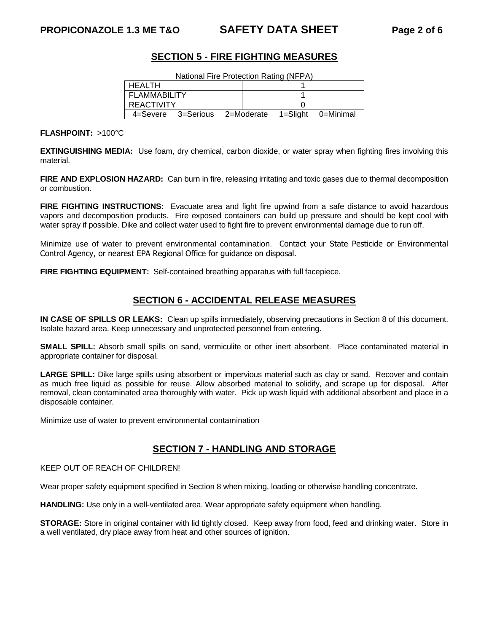# **SECTION 5 - FIRE FIGHTING MEASURES**

| National Fire Protection Rating (NFPA) |                                                  |  |  |  |  |
|----------------------------------------|--------------------------------------------------|--|--|--|--|
| I HEALTH                               |                                                  |  |  |  |  |
| <b>FLAMMABILITY</b>                    |                                                  |  |  |  |  |
| <b>REACTIVITY</b>                      |                                                  |  |  |  |  |
|                                        | 4=Severe 3=Serious 2=Moderate 1=Slight 0=Minimal |  |  |  |  |

**FLASHPOINT:** >100°C

**EXTINGUISHING MEDIA:** Use foam, dry chemical, carbon dioxide, or water spray when fighting fires involving this material.

**FIRE AND EXPLOSION HAZARD:** Can burn in fire, releasing irritating and toxic gases due to thermal decomposition or combustion.

**FIRE FIGHTING INSTRUCTIONS:** Evacuate area and fight fire upwind from a safe distance to avoid hazardous vapors and decomposition products. Fire exposed containers can build up pressure and should be kept cool with water spray if possible. Dike and collect water used to fight fire to prevent environmental damage due to run off.

Minimize use of water to prevent environmental contamination. Contact your State Pesticide or Environmental Control Agency, or nearest EPA Regional Office for guidance on disposal.

**FIRE FIGHTING EQUIPMENT:** Self-contained breathing apparatus with full facepiece.

## **SECTION 6 - ACCIDENTAL RELEASE MEASURES**

**IN CASE OF SPILLS OR LEAKS:** Clean up spills immediately, observing precautions in Section 8 of this document. Isolate hazard area. Keep unnecessary and unprotected personnel from entering.

**SMALL SPILL:** Absorb small spills on sand, vermiculite or other inert absorbent. Place contaminated material in appropriate container for disposal.

**LARGE SPILL:** Dike large spills using absorbent or impervious material such as clay or sand. Recover and contain as much free liquid as possible for reuse. Allow absorbed material to solidify, and scrape up for disposal. After removal, clean contaminated area thoroughly with water. Pick up wash liquid with additional absorbent and place in a disposable container.

Minimize use of water to prevent environmental contamination

## **SECTION 7 - HANDLING AND STORAGE**

KEEP OUT OF REACH OF CHILDREN!

Wear proper safety equipment specified in Section 8 when mixing, loading or otherwise handling concentrate.

**HANDLING:** Use only in a well-ventilated area. Wear appropriate safety equipment when handling.

**STORAGE:** Store in original container with lid tightly closed. Keep away from food, feed and drinking water. Store in a well ventilated, dry place away from heat and other sources of ignition.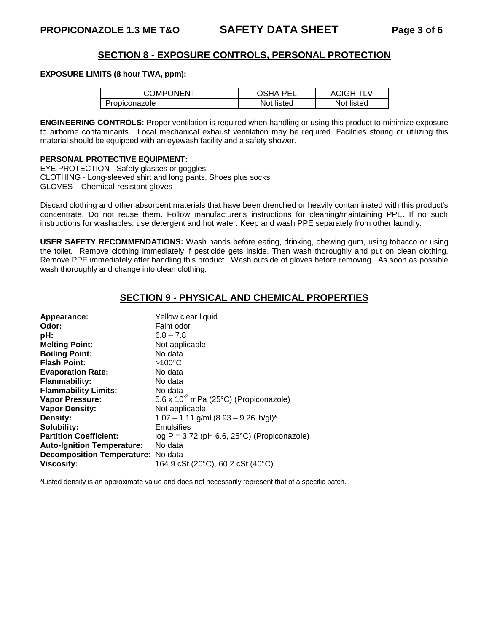## **SECTION 8 - EXPOSURE CONTROLS, PERSONAL PROTECTION**

#### **EXPOSURE LIMITS (8 hour TWA, ppm):**

| <b>COMPONENT</b> | วรหA<br>DEI | ACIGH TLV  |
|------------------|-------------|------------|
| Propiconazole    | Not listed  | Not listed |

**ENGINEERING CONTROLS:** Proper ventilation is required when handling or using this product to minimize exposure to airborne contaminants. Local mechanical exhaust ventilation may be required. Facilities storing or utilizing this material should be equipped with an eyewash facility and a safety shower.

### **PERSONAL PROTECTIVE EQUIPMENT:**

EYE PROTECTION - Safety glasses or goggles. CLOTHING - Long-sleeved shirt and long pants, Shoes plus socks. GLOVES – Chemical-resistant gloves

Discard clothing and other absorbent materials that have been drenched or heavily contaminated with this product's concentrate. Do not reuse them. Follow manufacturer's instructions for cleaning/maintaining PPE. If no such instructions for washables, use detergent and hot water. Keep and wash PPE separately from other laundry.

**USER SAFETY RECOMMENDATIONS:** Wash hands before eating, drinking, chewing gum, using tobacco or using the toilet. Remove clothing immediately if pesticide gets inside. Then wash thoroughly and put on clean clothing. Remove PPE immediately after handling this product. Wash outside of gloves before removing. As soon as possible wash thoroughly and change into clean clothing.

## **SECTION 9 - PHYSICAL AND CHEMICAL PROPERTIES**

| Appearance:                               | Yellow clear liquid                               |
|-------------------------------------------|---------------------------------------------------|
| Odor:                                     | Faint odor                                        |
| pH:                                       | $6.8 - 7.8$                                       |
| <b>Melting Point:</b>                     | Not applicable                                    |
| <b>Boiling Point:</b>                     | No data                                           |
| <b>Flash Point:</b>                       | $>100^{\circ}$ C                                  |
| <b>Evaporation Rate:</b>                  | No data                                           |
| <b>Flammability:</b>                      | No data                                           |
| <b>Flammability Limits:</b>               | No data                                           |
| Vapor Pressure:                           | 5.6 x 10 <sup>-2</sup> mPa (25°C) (Propiconazole) |
| <b>Vapor Density:</b>                     | Not applicable                                    |
| Density:                                  | $1.07 - 1.11$ g/ml (8.93 - 9.26 lb/gl)*           |
| Solubility:                               | Emulsifies                                        |
| <b>Partition Coefficient:</b>             | $log P = 3.72$ (pH 6.6, 25°C) (Propiconazole)     |
| <b>Auto-Ignition Temperature:</b>         | No data                                           |
| <b>Decomposition Temperature:</b> No data |                                                   |
| <b>Viscosity:</b>                         | 164.9 cSt (20°C), 60.2 cSt (40°C)                 |

\*Listed density is an approximate value and does not necessarily represent that of a specific batch.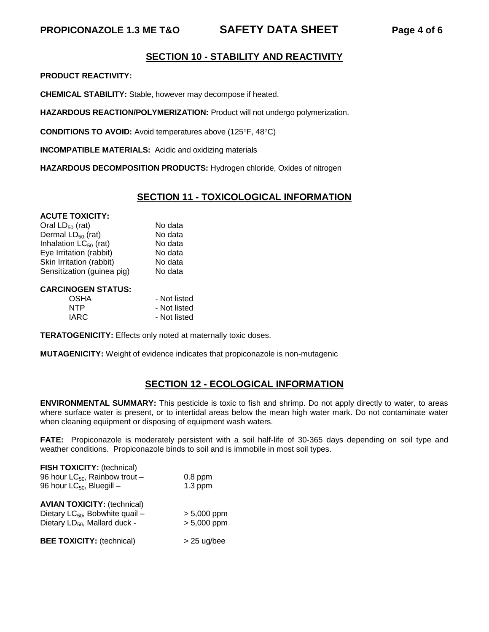# **SECTION 10 - STABILITY AND REACTIVITY**

**PRODUCT REACTIVITY:**

**CHEMICAL STABILITY:** Stable, however may decompose if heated.

**HAZARDOUS REACTION/POLYMERIZATION:** Product will not undergo polymerization.

**CONDITIONS TO AVOID:** Avoid temperatures above (125°F, 48°C)

**INCOMPATIBLE MATERIALS:** Acidic and oxidizing materials

**HAZARDOUS DECOMPOSITION PRODUCTS:** Hydrogen chloride, Oxides of nitrogen

## **SECTION 11 - TOXICOLOGICAL INFORMATION**

#### **ACUTE TOXICITY:**

Oral  $LD_{50}$  (rat) No data<br>Dermal LD<sub>50</sub> (rat) No data Dermal  $LD_{50}$  (rat) No data<br>Inhalation  $LC_{50}$  (rat) No data Inhalation  $LC_{50}$  (rat) Eye Irritation (rabbit) No data Skin Irritation (rabbit) No data Sensitization (guinea pig) No data

#### **CARCINOGEN STATUS:**

| OSHA | - Not listed |
|------|--------------|
| NTP  | - Not listed |
| IARC | - Not listed |

**TERATOGENICITY:** Effects only noted at maternally toxic doses.

**MUTAGENICITY:** Weight of evidence indicates that propiconazole is non-mutagenic

# **SECTION 12 - ECOLOGICAL INFORMATION**

**ENVIRONMENTAL SUMMARY:** This pesticide is toxic to fish and shrimp. Do not apply directly to water, to areas where surface water is present, or to intertidal areas below the mean high water mark. Do not contaminate water when cleaning equipment or disposing of equipment wash waters.

**FATE:** Propiconazole is moderately persistent with a soil half-life of 30-365 days depending on soil type and weather conditions. Propiconazole binds to soil and is immobile in most soil types.

| <b>FISH TOXICITY: (technical)</b><br>96 hour $LC_{50}$ , Rainbow trout -<br>96 hour $LC_{50}$ , Bluegill –                     | $0.8$ ppm<br>$1.3$ ppm         |
|--------------------------------------------------------------------------------------------------------------------------------|--------------------------------|
| <b>AVIAN TOXICITY: (technical)</b><br>Dietary LC <sub>50</sub> , Bobwhite quail -<br>Dietary LD <sub>50</sub> , Mallard duck - | $> 5,000$ ppm<br>$> 5,000$ ppm |
| <b>BEE TOXICITY: (technical)</b>                                                                                               | $> 25$ ug/bee                  |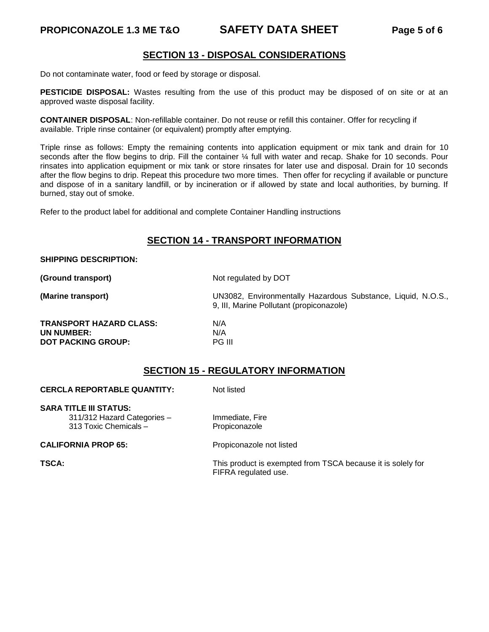### **PROPICONAZOLE 1.3 ME T&O SAFETY DATA SHEET Page 5 of 6**

## **SECTION 13 - DISPOSAL CONSIDERATIONS**

Do not contaminate water, food or feed by storage or disposal.

**PESTICIDE DISPOSAL:** Wastes resulting from the use of this product may be disposed of on site or at an approved waste disposal facility.

**CONTAINER DISPOSAL**: Non-refillable container. Do not reuse or refill this container. Offer for recycling if available. Triple rinse container (or equivalent) promptly after emptying.

Triple rinse as follows: Empty the remaining contents into application equipment or mix tank and drain for 10 seconds after the flow begins to drip. Fill the container ¼ full with water and recap. Shake for 10 seconds. Pour rinsates into application equipment or mix tank or store rinsates for later use and disposal. Drain for 10 seconds after the flow begins to drip. Repeat this procedure two more times. Then offer for recycling if available or puncture and dispose of in a sanitary landfill, or by incineration or if allowed by state and local authorities, by burning. If burned, stay out of smoke.

Refer to the product label for additional and complete Container Handling instructions

## **SECTION 14 - TRANSPORT INFORMATION**

#### **SHIPPING DESCRIPTION:**

**(Ground transport)** Not regulated by DOT

**(Marine transport)** UN3082, Environmentally Hazardous Substance, Liquid, N.O.S., 9, III, Marine Pollutant (propiconazole)

**TRANSPORT HAZARD CLASS:** N/A **UN NUMBER:** N/A<br> **DOT PACKING GROUP:** PG III **DOT PACKING GROUP:** 

## **SECTION 15 - REGULATORY INFORMATION**

#### **CERCLA REPORTABLE QUANTITY:** Not listed

**SARA TITLE III STATUS:** 311/312 Hazard Categories – Immediate, Fire

313 Toxic Chemicals – Propiconazole

#### **CALIFORNIA PROP 65:** Propiconazole not listed

**TSCA:** TSCA: THE TSCA: This product is exempted from TSCA because it is solely for FIFRA regulated use.